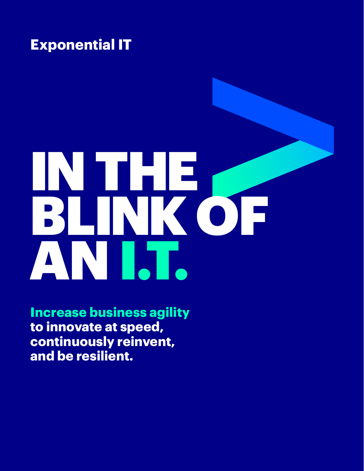### **Exponential IT**

# IN THE BLINK OF AN I.T.

**Increase business agility to innovate at speed, continuously reinvent, and be resilient.**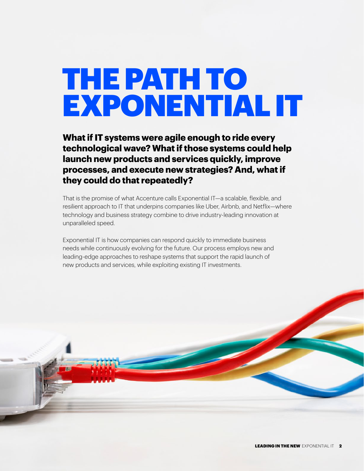### THE PATH TO EXPONENTIAL IT

**What if IT systems were agile enough to ride every technological wave? What if those systems could help launch new products and services quickly, improve processes, and execute new strategies? And, what if they could do that repeatedly?**

That is the promise of what Accenture calls Exponential IT—a scalable, flexible, and resilient approach to IT that underpins companies like Uber, Airbnb, and Netflix—where technology and business strategy combine to drive industry-leading innovation at unparalleled speed.

Exponential IT is how companies can respond quickly to immediate business needs while continuously evolving for the future. Our process employs new and leading-edge approaches to reshape systems that support the rapid launch of new products and services, while exploiting existing IT investments.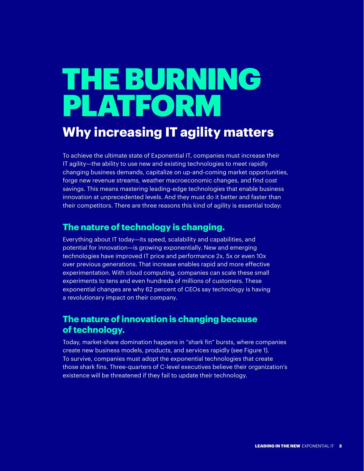# THE BURNING PLATFORM

### **Why increasing IT agility matters**

To achieve the ultimate state of Exponential IT, companies must increase their IT agility—the ability to use new and existing technologies to meet rapidly changing business demands, capitalize on up-and-coming market opportunities, forge new revenue streams, weather macroeconomic changes, and find cost savings. This means mastering leading-edge technologies that enable business innovation at unprecedented levels. And they must do it better and faster than their competitors. There are three reasons this kind of agility is essential today:

#### **The nature of technology is changing.**

Everything about IT today—its speed, scalability and capabilities, and potential for innovation—is growing exponentially. New and emerging technologies have improved IT price and performance 2x, 5x or even 10x over previous generations. That increase enables rapid and more effective experimentation. With cloud computing, companies can scale these small experiments to tens and even hundreds of millions of customers. These exponential changes are why 62 percent of CEOs say technology is having a revolutionary impact on their company.

#### **The nature of innovation is changing because of technology.**

Today, market-share domination happens in "shark fin" bursts, where companies create new business models, products, and services rapidly (see Figure 1). To survive, companies must adopt the exponential technologies that create those shark fins. Three-quarters of C-level executives believe their organization's existence will be threatened if they fail to update their technology.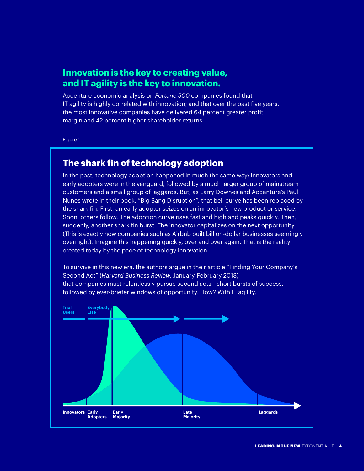#### **Innovation is the key to creating value, and IT agility is the key to innovation.**

Accenture economic analysis on *Fortune 500* companies found that IT agility is highly correlated with innovation; and that over the past five years, the most innovative companies have delivered 64 percent greater profit margin and 42 percent higher shareholder returns.

Figure 1

#### **The shark fin of technology adoption**

In the past, technology adoption happened in much the same way: Innovators and early adopters were in the vanguard, followed by a much larger group of mainstream customers and a small group of laggards. But, as Larry Downes and Accenture's Paul Nunes wrote in their book, "Big Bang Disruption", that bell curve has been replaced by the shark fin. First, an early adopter seizes on an innovator's new product or service. Soon, others follow. The adoption curve rises fast and high and peaks quickly. Then, suddenly, another shark fin burst. The innovator capitalizes on the next opportunity. (This is exactly how companies such as Airbnb built billion-dollar businesses seemingly overnight). Imagine this happening quickly, over and over again. That is the reality created today by the pace of technology innovation.

To survive in this new era, the authors argue in their article "Finding Your Company's Second Act" (*Harvard Business Review*, January-February 2018) that companies must relentlessly pursue second acts—short bursts of success, followed by ever-briefer windows of opportunity. How? With IT agility.

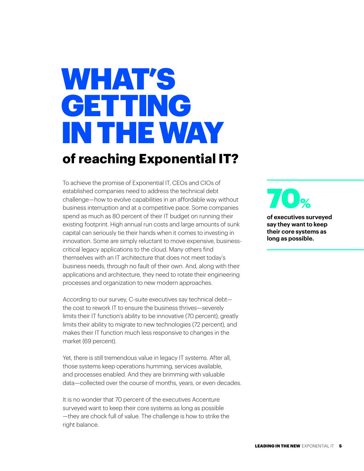### WHAT'S GETTING IN THE WAY **of reaching Exponential IT?**

To achieve the promise of Exponential IT, CEOs and CIOs of established companies need to address the technical debt challenge—how to evolve capabilities in an affordable way without business interruption and at a competitive pace. Some companies spend as much as 80 percent of their IT budget on running their existing footprint. High annual run costs and large amounts of sunk capital can seriously tie their hands when it comes to investing in innovation. Some are simply reluctant to move expensive, businesscritical legacy applications to the cloud. Many others find themselves with an IT architecture that does not meet today's business needs, through no fault of their own. And, along with their applications and architecture, they need to rotate their engineering processes and organization to new modern approaches.

According to our survey, C-suite executives say technical debt the cost to rework IT to ensure the business thrives—severely limits their IT function's ability to be innovative (70 percent), greatly limits their ability to migrate to new technologies (72 percent), and makes their IT function much less responsive to changes in the market (69 percent).

Yet, there is still tremendous value in legacy IT systems. After all, those systems keep operations humming, services available, and processes enabled. And they are brimming with valuable data—collected over the course of months, years, or even decades.

It is no wonder that 70 percent of the executives Accenture surveyed want to keep their core systems as long as possible —they are chock full of value. The challenge is how to strike the right balance.

**of executives surveyed**   $\mathbf{O}_{\mathbf{Q}}$ 

**say they want to keep their core systems as long as possible.**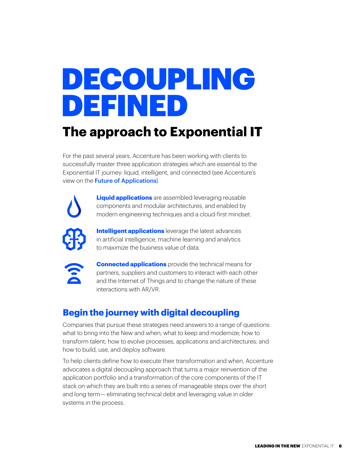# DECOUPLING DEFINED

### **The approach to Exponential IT**

For the past several years, Accenture has been working with clients to successfully master three application strategies which are essential to the Exponential IT journey: liquid, intelligent, and connected (see Accenture's view on the **[Future of Applications](https://www.accenture.com/futureofapplications)**).



**Liquid applications** are assembled leveraging reusable components and modular architectures, and enabled by modern engineering techniques and a cloud-first mindset.



**Intelligent applications** leverage the latest advances in artificial intelligence, machine learning and analytics to maximize the business value of data.



**Connected applications** provide the technical means for partners, suppliers and customers to interact with each other and the Internet of Things and to change the nature of these interactions with AR/VR.

#### **Begin the journey with digital decoupling**

Companies that pursue these strategies need answers to a range of questions: what to bring into the New and when; what to keep and modernize; how to transform talent; how to evolve processes, applications and architectures; and how to build, use, and deploy software.

To help clients define how to execute their transformation and when, Accenture advocates a digital decoupling approach that turns a major reinvention of the application portfolio and a transformation of the core components of the IT stack on which they are built into a series of manageable steps over the short and long term— eliminating technical debt and leveraging value in older systems in the process.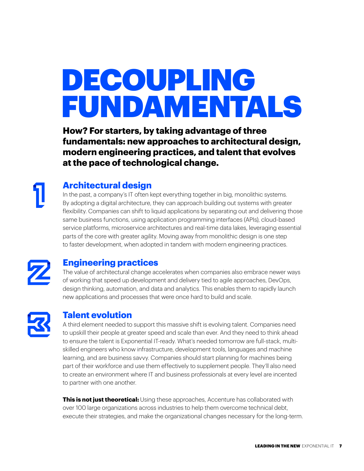# DECOUPLING FUNDAMENTALS

**How? For starters, by taking advantage of three fundamentals: new approaches to architectural design, modern engineering practices, and talent that evolves at the pace of technological change.**

#### **Architectural design**

In the past, a company's IT often kept everything together in big, monolithic systems. By adopting a digital architecture, they can approach building out systems with greater flexibility. Companies can shift to liquid applications by separating out and delivering those same business functions, using application programming interfaces (APIs), cloud-based service platforms, microservice architectures and real-time data lakes, leveraging essential parts of the core with greater agility. Moving away from monolithic design is one step to faster development, when adopted in tandem with modern engineering practices.



#### **Engineering practices**

The value of architectural change accelerates when companies also embrace newer ways of working that speed up development and delivery tied to agile approaches, DevOps, design thinking, automation, and data and analytics. This enables them to rapidly launch new applications and processes that were once hard to build and scale.



#### **Talent evolution**

A third element needed to support this massive shift is evolving talent. Companies need to upskill their people at greater speed and scale than ever. And they need to think ahead to ensure the talent is Exponential IT-ready. What's needed tomorrow are full-stack, multiskilled engineers who know infrastructure, development tools, languages and machine learning, and are business savvy. Companies should start planning for machines being part of their workforce and use them effectively to supplement people. They'll also need to create an environment where IT and business professionals at every level are incented to partner with one another.

**This is not just theoretical:** Using these approaches, Accenture has collaborated with over 100 large organizations across industries to help them overcome technical debt, execute their strategies, and make the organizational changes necessary for the long-term.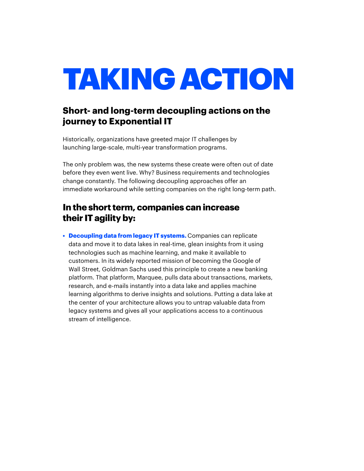# TAKING ACTION

#### **Short- and long-term decoupling actions on the journey to Exponential IT**

Historically, organizations have greeted major IT challenges by launching large-scale, multi-year transformation programs.

The only problem was, the new systems these create were often out of date before they even went live. Why? Business requirements and technologies change constantly. The following decoupling approaches offer an immediate workaround while setting companies on the right long-term path.

#### **In the short term, companies can increase their IT agility by:**

**• Decoupling data from legacy IT systems.** Companies can replicate data and move it to data lakes in real-time, glean insights from it using technologies such as machine learning, and make it available to customers. In its widely reported mission of becoming the Google of Wall Street, Goldman Sachs used this principle to create a new banking platform. That platform, Marquee, pulls data about transactions, markets, research, and e-mails instantly into a data lake and applies machine learning algorithms to derive insights and solutions. Putting a data lake at the center of your architecture allows you to untrap valuable data from legacy systems and gives all your applications access to a continuous stream of intelligence.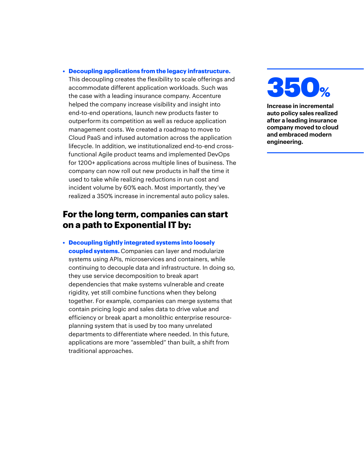**• Decoupling applications from the legacy infrastructure.**

This decoupling creates the flexibility to scale offerings and accommodate different application workloads. Such was the case with a leading insurance company. Accenture helped the company increase visibility and insight into end-to-end operations, launch new products faster to outperform its competition as well as reduce application management costs. We created a roadmap to move to Cloud PaaS and infused automation across the application lifecycle. In addition, we institutionalized end-to-end crossfunctional Agile product teams and implemented DevOps for 1200+ applications across multiple lines of business. The company can now roll out new products in half the time it used to take while realizing reductions in run cost and incident volume by 60% each. Most importantly, they've realized a 350% increase in incremental auto policy sales.

#### **For the long term, companies can start on a path to Exponential IT by:**

**• Decoupling tightly integrated systems into loosely coupled systems.** Companies can layer and modularize systems using APIs, microservices and containers, while continuing to decouple data and infrastructure. In doing so, they use service decomposition to break apart dependencies that make systems vulnerable and create rigidity, yet still combine functions when they belong together. For example, companies can merge systems that contain pricing logic and sales data to drive value and efficiency or break apart a monolithic enterprise resourceplanning system that is used by too many unrelated departments to differentiate where needed. In this future, applications are more "assembled" than built, a shift from traditional approaches.



**Increase in incremental auto policy sales realized after a leading insurance company moved to cloud and embraced modern engineering.**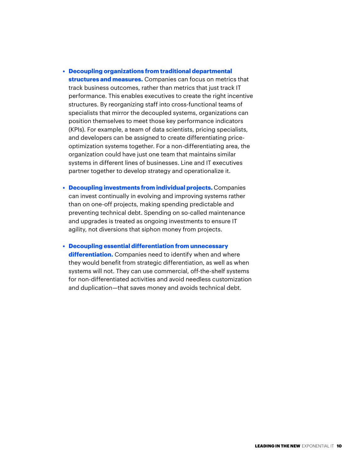- **Decoupling organizations from traditional departmental structures and measures.** Companies can focus on metrics that track business outcomes, rather than metrics that just track IT performance. This enables executives to create the right incentive structures. By reorganizing staff into cross-functional teams of specialists that mirror the decoupled systems, organizations can position themselves to meet those key performance indicators (KPIs). For example, a team of data scientists, pricing specialists, and developers can be assigned to create differentiating priceoptimization systems together. For a non-differentiating area, the organization could have just one team that maintains similar systems in different lines of businesses. Line and IT executives partner together to develop strategy and operationalize it.
- **Decoupling investments from individual projects.** Companies can invest continually in evolving and improving systems rather than on one-off projects, making spending predictable and preventing technical debt. Spending on so-called maintenance and upgrades is treated as ongoing investments to ensure IT agility, not diversions that siphon money from projects.

**• Decoupling essential differentiation from unnecessary differentiation.** Companies need to identify when and where they would benefit from strategic differentiation, as well as when systems will not. They can use commercial, off-the-shelf systems for non-differentiated activities and avoid needless customization and duplication—that saves money and avoids technical debt.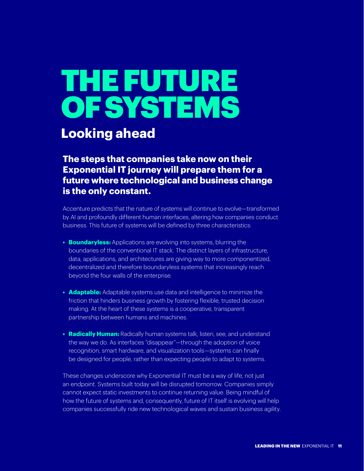# THE FUTURE **OF SYSTEMS**

### **Looking ahead**

**The steps that companies take now on their Exponential IT journey will prepare them for a future where technological and business change is the only constant.**

Accenture predicts that the nature of systems will continue to evolve—transformed by AI and profoundly different human interfaces, altering how companies conduct business. This future of systems will be defined by three characteristics:

- **• Boundaryless:** Applications are evolving into systems, blurring the boundaries of the conventional IT stack. The distinct layers of infrastructure, data, applications, and architectures are giving way to more componentized, decentralized and therefore boundaryless systems that increasingly reach beyond the four walls of the enterprise.
- **• Adaptable:** Adaptable systems use data and intelligence to minimize the friction that hinders business growth by fostering flexible, trusted decision making. At the heart of these systems is a cooperative, transparent partnership between humans and machines.
- **• Radically Human:** Radically human systems talk, listen, see, and understand the way we do. As interfaces "disappear"—through the adoption of voice recognition, smart hardware, and visualization tools—systems can finally be designed for people, rather than expecting people to adapt to systems.

These changes underscore why Exponential IT must be a way of life, not just an endpoint. Systems built today will be disrupted tomorrow. Companies simply cannot expect static investments to continue returning value. Being mindful of how the future of systems and, consequently, future of IT itself is evolving will help companies successfully ride new technological waves and sustain business agility.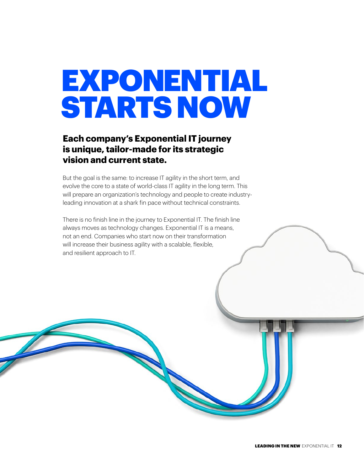### EXPONENTIAL STARTS NOW

#### **Each company's Exponential IT journey is unique, tailor-made for its strategic vision and current state.**

But the goal is the same: to increase IT agility in the short term, and evolve the core to a state of world-class IT agility in the long term. This will prepare an organization's technology and people to create industryleading innovation at a shark fin pace without technical constraints.

There is no finish line in the journey to Exponential IT. The finish line always moves as technology changes. Exponential IT is a means, not an end. Companies who start now on their transformation will increase their business agility with a scalable, flexible, and resilient approach to IT.